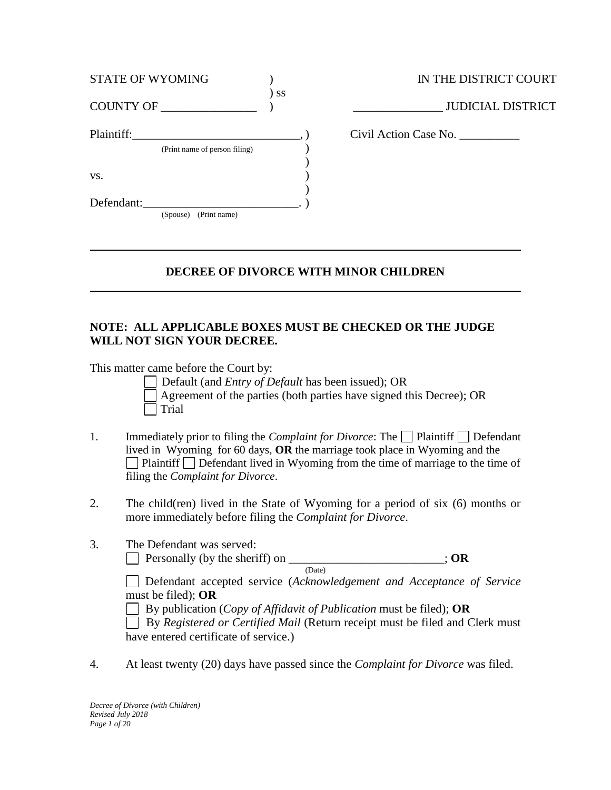| <b>STATE OF WYOMING</b>       |    |
|-------------------------------|----|
| COUNTY OF                     | SS |
| Plaintiff:                    |    |
| (Print name of person filing) |    |
| VS.                           |    |
| Defendant:                    |    |
| (Spouse) (Print name)         |    |

IN THE DISTRICT COURT  $\lrcorner$  JUDICIAL DISTRICT Plaintiff:\_\_\_\_\_\_\_\_\_\_\_\_\_\_\_\_\_\_\_\_\_\_\_\_\_\_\_\_, ) Civil Action Case No. \_\_\_\_\_\_\_\_\_\_

# **DECREE OF DIVORCE WITH MINOR CHILDREN**

## **NOTE: ALL APPLICABLE BOXES MUST BE CHECKED OR THE JUDGE WILL NOT SIGN YOUR DECREE.**

This matter came before the Court by:

Default (and *Entry of Default* has been issued); OR Agreement of the parties (both parties have signed this Decree); OR Trial

- 1. Immediately prior to filing the *Complaint for Divorce*: The  $\Box$  Plaintiff  $\Box$  Defendant lived in Wyoming for 60 days, **OR** the marriage took place in Wyoming and the  $\Box$  Plaintiff  $\Box$  Defendant lived in Wyoming from the time of marriage to the time of filing the *Complaint for Divorce*.
- 2. The child(ren) lived in the State of Wyoming for a period of six (6) months or more immediately before filing the *Complaint for Divorce*.
- 3. The Defendant was served:

Personally (by the sheriff) on \_\_\_\_\_\_\_\_\_\_\_\_\_\_\_\_\_\_\_\_\_\_\_\_\_\_; **OR** (Date)

Defendant accepted service (*Acknowledgement and Acceptance of Service*  must be filed); **OR**

By publication (*Copy of Affidavit of Publication* must be filed); **OR**

 By *Registered or Certified Mail* (Return receipt must be filed and Clerk must have entered certificate of service.)

4. At least twenty (20) days have passed since the *Complaint for Divorce* was filed.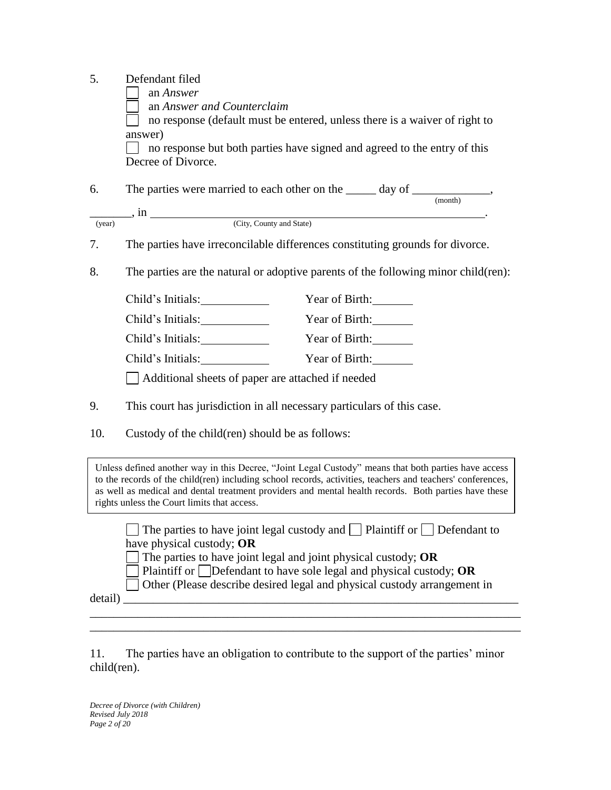- 5. Defendant filed
	- an *Answer*
	- an *Answer and Counterclaim*

 no response (default must be entered, unless there is a waiver of right to answer)

 no response but both parties have signed and agreed to the entry of this Decree of Divorce.

| 6.     | The parties were married to each other on the<br>day of |         |  |
|--------|---------------------------------------------------------|---------|--|
|        |                                                         | (month) |  |
|        |                                                         |         |  |
| (year) | (City, County and State)                                |         |  |

7. The parties have irreconcilable differences constituting grounds for divorce.

8. The parties are the natural or adoptive parents of the following minor child(ren):

| Child's Initials:                                 | Year of Birth: |  |
|---------------------------------------------------|----------------|--|
| Child's Initials:                                 | Year of Birth: |  |
| Child's Initials:                                 | Year of Birth: |  |
| Child's Initials:                                 | Year of Birth: |  |
| Additional sheets of paper are attached if needed |                |  |

- 9. This court has jurisdiction in all necessary particulars of this case.
- 10. Custody of the child(ren) should be as follows:

Unless defined another way in this Decree, "Joint Legal Custody" means that both parties have access to the records of the child(ren) including school records, activities, teachers and teachers' conferences, as well as medical and dental treatment providers and mental health records. Both parties have these rights unless the Court limits that access.

 $\Box$  The parties to have joint legal custody and  $\Box$  Plaintiff or  $\Box$  Defendant to have physical custody; **OR**

The parties to have joint legal and joint physical custody; **OR** 

Plaintiff or Defendant to have sole legal and physical custody; **OR**

\_\_\_\_\_\_\_\_\_\_\_\_\_\_\_\_\_\_\_\_\_\_\_\_\_\_\_\_\_\_\_\_\_\_\_\_\_\_\_\_\_\_\_\_\_\_\_\_\_\_\_\_\_\_\_\_\_\_\_\_\_\_\_\_\_\_\_\_\_\_\_\_ \_\_\_\_\_\_\_\_\_\_\_\_\_\_\_\_\_\_\_\_\_\_\_\_\_\_\_\_\_\_\_\_\_\_\_\_\_\_\_\_\_\_\_\_\_\_\_\_\_\_\_\_\_\_\_\_\_\_\_\_\_\_\_\_\_\_\_\_\_\_\_\_

Other (Please describe desired legal and physical custody arrangement in

detail) \_\_\_\_\_\_\_\_\_\_\_\_\_\_\_\_\_\_\_\_\_\_\_\_\_\_\_\_\_\_\_\_\_\_\_\_\_\_\_\_\_\_\_\_\_\_\_\_\_\_\_\_\_\_\_\_\_\_\_\_\_\_\_\_\_\_

11. The parties have an obligation to contribute to the support of the parties' minor child(ren).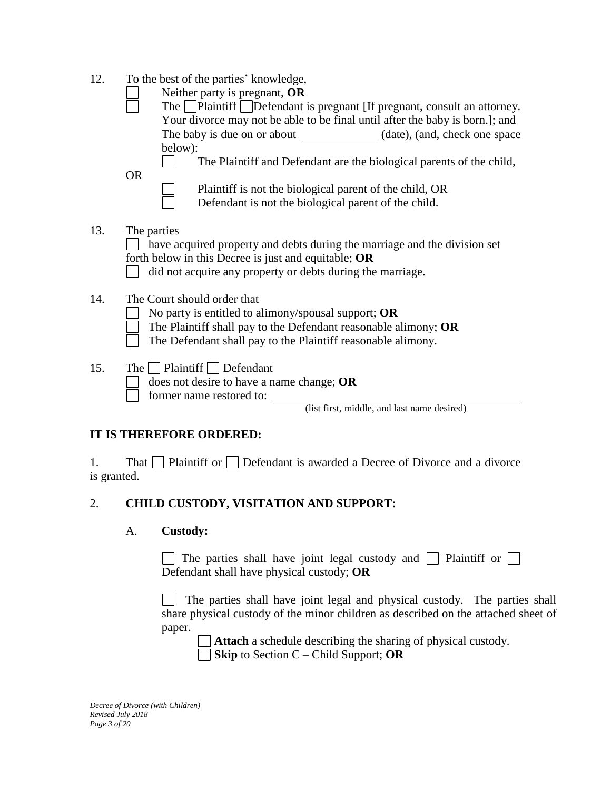- 12. To the best of the parties' knowledge,
- Neither party is pregnant, **OR** The Plaintiff Defendant is pregnant [If pregnant, consult an attorney. Your divorce may not be able to be final until after the baby is born.]; and The baby is due on or about (date), (and, check one space below):  $\Box$ The Plaintiff and Defendant are the biological parents of the child, OR Plaintiff is not the biological parent of the child, OR Defendant is not the biological parent of the child. 13. The parties have acquired property and debts during the marriage and the division set forth below in this Decree is just and equitable; **OR** did not acquire any property or debts during the marriage. 14. The Court should order that No party is entitled to alimony/spousal support; **OR** The Plaintiff shall pay to the Defendant reasonable alimony; **OR** The Defendant shall pay to the Plaintiff reasonable alimony. 15. The  $\Box$  Plaintiff  $\Box$  Defendant does not desire to have a name change; **OR** former name restored to: (list first, middle, and last name desired)

# **IT IS THEREFORE ORDERED:**

1. That  $\Box$  Plaintiff or  $\Box$  Defendant is awarded a Decree of Divorce and a divorce is granted.

# 2. **CHILD CUSTODY, VISITATION AND SUPPORT:**

## A. **Custody:**

The parties shall have joint legal custody and Plaintiff or  $\Box$ Defendant shall have physical custody; **OR**

The parties shall have joint legal and physical custody. The parties shall share physical custody of the minor children as described on the attached sheet of paper.

**Attach** a schedule describing the sharing of physical custody. **Skip** to Section C – Child Support; **OR**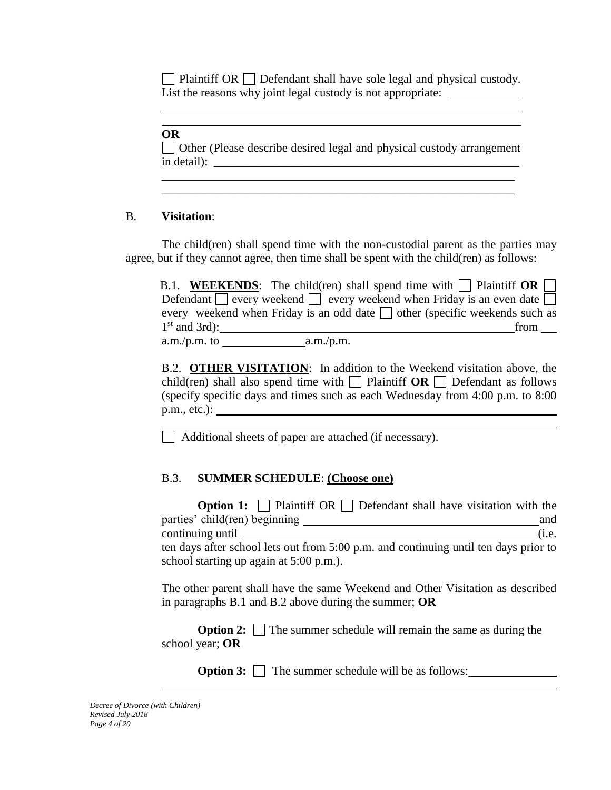$\Box$  Plaintiff OR  $\Box$  Defendant shall have sole legal and physical custody. List the reasons why joint legal custody is not appropriate:

#### **OR**

Other (Please describe desired legal and physical custody arrangement in detail): \_\_\_\_\_\_\_\_\_\_\_\_\_\_\_\_\_\_\_\_\_\_\_\_\_\_\_\_\_\_\_\_\_\_\_\_\_\_\_\_\_\_\_\_\_\_\_\_\_\_\_

\_\_\_\_\_\_\_\_\_\_\_\_\_\_\_\_\_\_\_\_\_\_\_\_\_\_\_\_\_\_\_\_\_\_\_\_\_\_\_\_\_\_\_\_\_\_\_\_\_\_\_\_\_\_\_\_\_\_\_ \_\_\_\_\_\_\_\_\_\_\_\_\_\_\_\_\_\_\_\_\_\_\_\_\_\_\_\_\_\_\_\_\_\_\_\_\_\_\_\_\_\_\_\_\_\_\_\_\_\_\_\_\_\_\_\_\_\_\_

### B. **Visitation**:

The child(ren) shall spend time with the non-custodial parent as the parties may agree, but if they cannot agree, then time shall be spent with the child(ren) as follows:

|                   |           | B.1. WEEKENDS: The child(ren) shall spend time with $\Box$ Plaintiff OR $\Box$         |
|-------------------|-----------|----------------------------------------------------------------------------------------|
|                   |           | Defendant $\Box$ every weekend $\Box$ every weekend when Friday is an even date $\Box$ |
|                   |           | every weekend when Friday is an odd date $\Box$ other (specific weekends such as       |
| $1st$ and $3rd$ : |           | from                                                                                   |
| $a.m./p.m.$ to    | a.m./p.m. |                                                                                        |

B.2. **OTHER VISITATION**: In addition to the Weekend visitation above, the child(ren) shall also spend time with **Plaintiff OR** Defendant as follows (specify specific days and times such as each Wednesday from 4:00 p.m. to 8:00 p.m., etc.):

Additional sheets of paper are attached (if necessary).

# B.3. **SUMMER SCHEDULE**: **(Choose one)**

| <b>Option 1:</b> $\Box$ Plaintiff OR $\Box$ Defendant shall have visitation with the   |       |
|----------------------------------------------------------------------------------------|-------|
| parties' child(ren) beginning                                                          | and   |
| continuing until                                                                       | (i.e. |
| ten days after school lets out from $5:00$ p.m. and continuing until ten days prior to |       |
| school starting up again at 5:00 p.m.).                                                |       |

The other parent shall have the same Weekend and Other Visitation as described in paragraphs B.1 and B.2 above during the summer; **OR**

**Option 2:** The summer schedule will remain the same as during the school year; **OR**

**Option 3:**  $\Box$  The summer schedule will be as follows: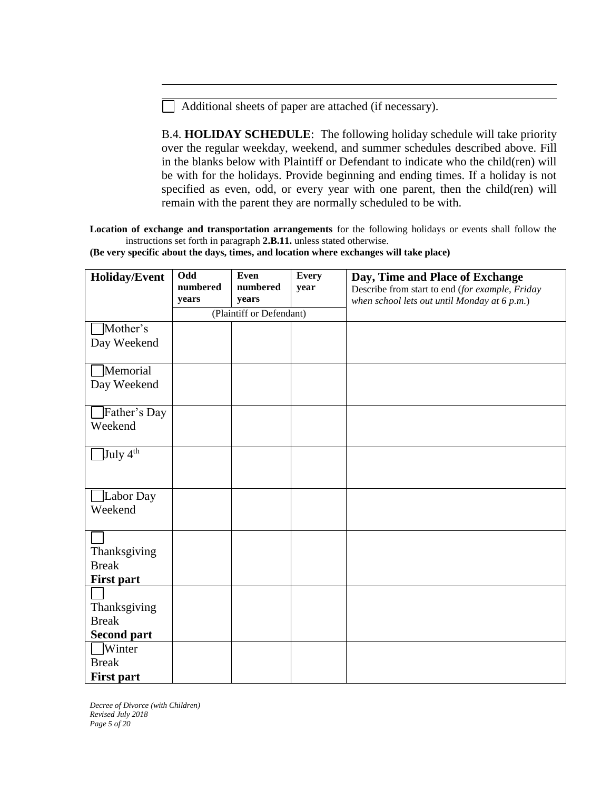Additional sheets of paper are attached (if necessary).

B.4. **HOLIDAY SCHEDULE**: The following holiday schedule will take priority over the regular weekday, weekend, and summer schedules described above. Fill in the blanks below with Plaintiff or Defendant to indicate who the child(ren) will be with for the holidays. Provide beginning and ending times. If a holiday is not specified as even, odd, or every year with one parent, then the child(ren) will remain with the parent they are normally scheduled to be with.

**Location of exchange and transportation arrangements** for the following holidays or events shall follow the instructions set forth in paragraph **2.B.11.** unless stated otherwise.

| Holiday/Event                      | Odd<br>numbered<br>years | <b>Even</b><br>numbered<br>years | <b>Every</b><br>year | Day, Time and Place of Exchange<br>Describe from start to end (for example, Friday<br>when school lets out until Monday at 6 p.m.) |
|------------------------------------|--------------------------|----------------------------------|----------------------|------------------------------------------------------------------------------------------------------------------------------------|
|                                    |                          | (Plaintiff or Defendant)         |                      |                                                                                                                                    |
| Mother's                           |                          |                                  |                      |                                                                                                                                    |
| Day Weekend                        |                          |                                  |                      |                                                                                                                                    |
| Memorial                           |                          |                                  |                      |                                                                                                                                    |
| Day Weekend                        |                          |                                  |                      |                                                                                                                                    |
|                                    |                          |                                  |                      |                                                                                                                                    |
| Father's Day                       |                          |                                  |                      |                                                                                                                                    |
| Weekend                            |                          |                                  |                      |                                                                                                                                    |
| July $4^{\text{th}}$               |                          |                                  |                      |                                                                                                                                    |
|                                    |                          |                                  |                      |                                                                                                                                    |
|                                    |                          |                                  |                      |                                                                                                                                    |
| Labor Day                          |                          |                                  |                      |                                                                                                                                    |
| Weekend                            |                          |                                  |                      |                                                                                                                                    |
|                                    |                          |                                  |                      |                                                                                                                                    |
| Thanksgiving                       |                          |                                  |                      |                                                                                                                                    |
| <b>Break</b>                       |                          |                                  |                      |                                                                                                                                    |
| <b>First part</b>                  |                          |                                  |                      |                                                                                                                                    |
|                                    |                          |                                  |                      |                                                                                                                                    |
| Thanksgiving                       |                          |                                  |                      |                                                                                                                                    |
| <b>Break</b><br><b>Second part</b> |                          |                                  |                      |                                                                                                                                    |
| Winter                             |                          |                                  |                      |                                                                                                                                    |
| <b>Break</b>                       |                          |                                  |                      |                                                                                                                                    |
| <b>First part</b>                  |                          |                                  |                      |                                                                                                                                    |

**(Be very specific about the days, times, and location where exchanges will take place)**

*Decree of Divorce (with Children) Revised July 2018 Page 5 of 20*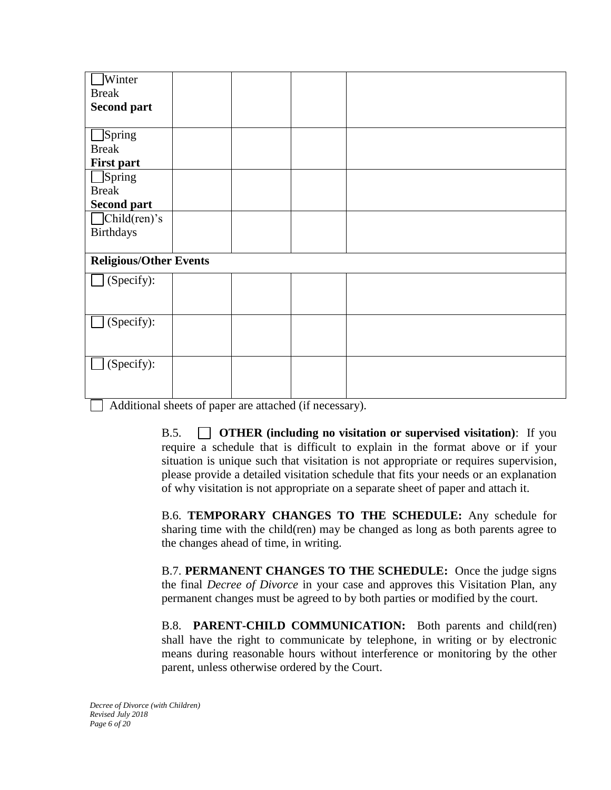| Winter                        |  |  |
|-------------------------------|--|--|
| <b>Break</b>                  |  |  |
| <b>Second part</b>            |  |  |
|                               |  |  |
| $\Box$ Spring                 |  |  |
| <b>Break</b>                  |  |  |
| <b>First part</b>             |  |  |
| $\Box$ Spring                 |  |  |
| <b>Break</b>                  |  |  |
| <b>Second part</b>            |  |  |
| $\Box$ Child(ren)'s           |  |  |
| <b>Birthdays</b>              |  |  |
|                               |  |  |
| <b>Religious/Other Events</b> |  |  |
| (Specify):                    |  |  |
|                               |  |  |
|                               |  |  |
| (Specify):                    |  |  |
|                               |  |  |
|                               |  |  |
| (Specify):                    |  |  |
|                               |  |  |
|                               |  |  |

 $\Box$  Additional sheets of paper are attached (if necessary).

B.5. **OTHER (including no visitation or supervised visitation)**: If you require a schedule that is difficult to explain in the format above or if your situation is unique such that visitation is not appropriate or requires supervision, please provide a detailed visitation schedule that fits your needs or an explanation of why visitation is not appropriate on a separate sheet of paper and attach it.

B.6. **TEMPORARY CHANGES TO THE SCHEDULE:** Any schedule for sharing time with the child(ren) may be changed as long as both parents agree to the changes ahead of time, in writing.

B.7. **PERMANENT CHANGES TO THE SCHEDULE:** Once the judge signs the final *Decree of Divorce* in your case and approves this Visitation Plan, any permanent changes must be agreed to by both parties or modified by the court.

B.8. **PARENT-CHILD COMMUNICATION:** Both parents and child(ren) shall have the right to communicate by telephone, in writing or by electronic means during reasonable hours without interference or monitoring by the other parent, unless otherwise ordered by the Court.

*Decree of Divorce (with Children) Revised July 2018 Page 6 of 20*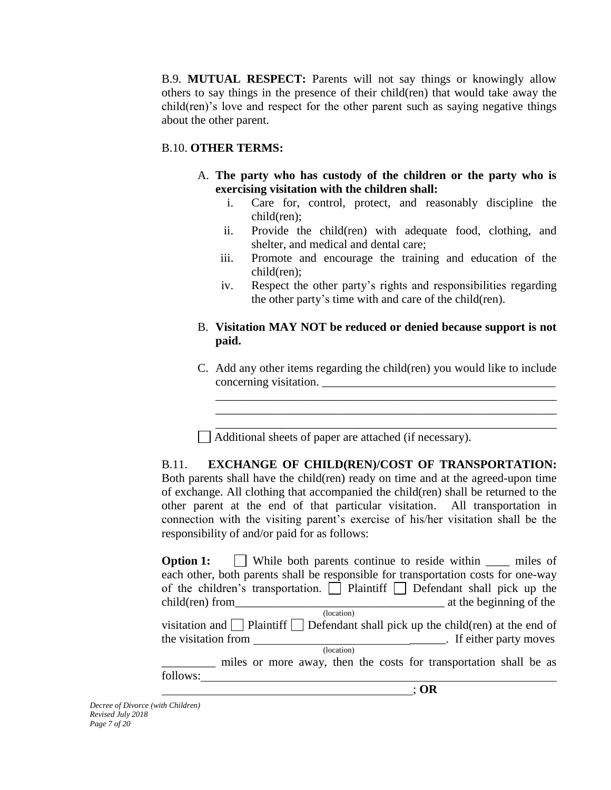B.9. **MUTUAL RESPECT:** Parents will not say things or knowingly allow others to say things in the presence of their child(ren) that would take away the child(ren)'s love and respect for the other parent such as saying negative things about the other parent.

## B.10. **OTHER TERMS:**

- A. **The party who has custody of the children or the party who is exercising visitation with the children shall:**
	- i. Care for, control, protect, and reasonably discipline the child(ren);
	- ii. Provide the child(ren) with adequate food, clothing, and shelter, and medical and dental care;
	- iii. Promote and encourage the training and education of the child(ren);
	- iv. Respect the other party's rights and responsibilities regarding the other party's time with and care of the child(ren).

## B. **Visitation MAY NOT be reduced or denied because support is not paid.**

C. Add any other items regarding the child(ren) you would like to include concerning visitation. \_\_\_\_\_\_\_\_\_\_\_\_\_\_\_\_\_\_\_\_\_\_\_\_\_\_\_\_\_\_\_\_\_\_\_\_\_\_\_

\_\_\_\_\_\_\_\_\_\_\_\_\_\_\_\_\_\_\_\_\_\_\_\_\_\_\_\_\_\_\_\_\_\_\_\_\_\_\_\_\_\_\_\_\_\_\_\_\_\_\_\_\_\_\_\_\_ \_\_\_\_\_\_\_\_\_\_\_\_\_\_\_\_\_\_\_\_\_\_\_\_\_\_\_\_\_\_\_\_\_\_\_\_\_\_\_\_\_\_\_\_\_\_\_\_\_\_\_\_\_\_\_\_\_ \_\_\_\_\_\_\_\_\_\_\_\_\_\_\_\_\_\_\_\_\_\_\_\_\_\_\_\_\_\_\_\_\_\_\_\_\_\_\_\_\_\_\_\_\_\_\_\_\_\_\_\_\_\_\_\_\_

Additional sheets of paper are attached (if necessary).

B.11. **EXCHANGE OF CHILD(REN)/COST OF TRANSPORTATION:** Both parents shall have the child(ren) ready on time and at the agreed-upon time of exchange. All clothing that accompanied the child(ren) shall be returned to the other parent at the end of that particular visitation. All transportation in connection with the visiting parent's exercise of his/her visitation shall be the responsibility of and/or paid for as follows:

**Option 1:** While both parents continue to reside within \_\_\_\_\_ miles of each other, both parents shall be responsible for transportation costs for one-way of the children's transportation.  $\Box$  Plaintiff  $\Box$  Defendant shall pick up the child(ren) from\_\_\_\_\_\_\_\_\_\_\_\_\_\_\_\_\_\_\_\_\_\_\_\_\_\_\_\_\_\_\_\_\_\_\_ at the beginning of the (location) visitation and  $\Box$  Plaintiff  $\Box$  Defendant shall pick up the child(ren) at the end of the visitation from \_\_\_\_\_\_. If either party moves (location) \_\_\_\_\_\_\_\_\_ miles or more away, then the costs for transportation shall be as follows: ; **OR**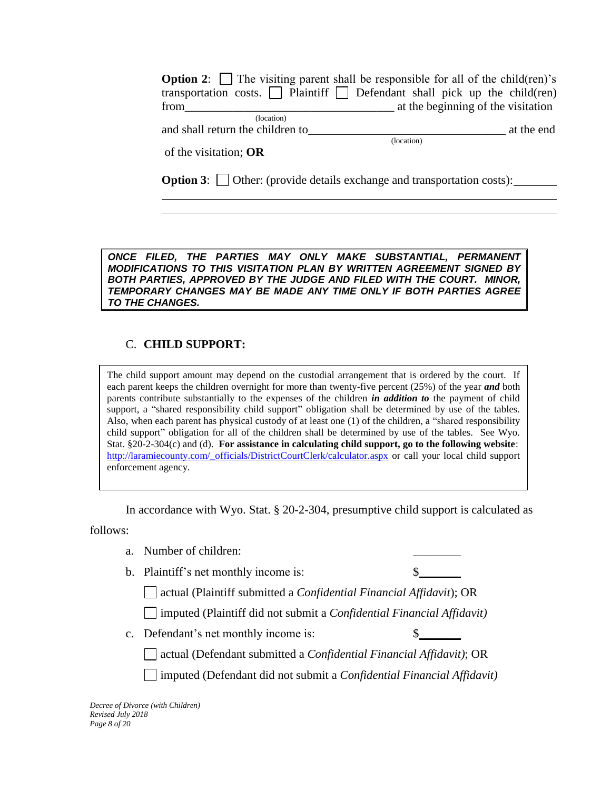|                                  | <b>Option 2:</b> $\Box$ The visiting parent shall be responsible for all of the child (ren)'s |
|----------------------------------|-----------------------------------------------------------------------------------------------|
|                                  | transportation costs. $\Box$ Plaintiff $\Box$ Defendant shall pick up the child(ren)          |
| from                             | at the beginning of the visitation                                                            |
| (location)                       |                                                                                               |
| and shall return the children to | at the end                                                                                    |
|                                  | (location)                                                                                    |
| of the visitation; $OR$          |                                                                                               |

**Option 3:** Other: (provide details exchange and transportation costs):

*ONCE FILED, THE PARTIES MAY ONLY MAKE SUBSTANTIAL, PERMANENT MODIFICATIONS TO THIS VISITATION PLAN BY WRITTEN AGREEMENT SIGNED BY BOTH PARTIES, APPROVED BY THE JUDGE AND FILED WITH THE COURT. MINOR, TEMPORARY CHANGES MAY BE MADE ANY TIME ONLY IF BOTH PARTIES AGREE TO THE CHANGES.*

## C. **CHILD SUPPORT:**

The child support amount may depend on the custodial arrangement that is ordered by the court. If each parent keeps the children overnight for more than twenty-five percent (25%) of the year *and* both parents contribute substantially to the expenses of the children *in addition to* the payment of child support, a "shared responsibility child support" obligation shall be determined by use of the tables. Also, when each parent has physical custody of at least one (1) of the children, a "shared responsibility child support" obligation for all of the children shall be determined by use of the tables. See Wyo. Stat. §20-2-304(c) and (d). **For assistance in calculating child support, go to the following website**: [http://laramiecounty.com/\\_officials/DistrictCourtClerk/calculator.aspx](http://laramiecounty.com/_officials/DistrictCourtClerk/calculator.aspx) or call your local child support enforcement agency.

In accordance with Wyo. Stat. § 20-2-304, presumptive child support is calculated as

follows:

- a. Number of children:
- b. Plaintiff's net monthly income is:  $\qquad \qquad \S$

actual (Plaintiff submitted a *Confidential Financial Affidavit*); OR

imputed (Plaintiff did not submit a *Confidential Financial Affidavit)*

c. Defendant's net monthly income is:  $\$\$ 

actual (Defendant submitted a *Confidential Financial Affidavit)*; OR

imputed (Defendant did not submit a *Confidential Financial Affidavit)*

*Decree of Divorce (with Children) Revised July 2018 Page 8 of 20*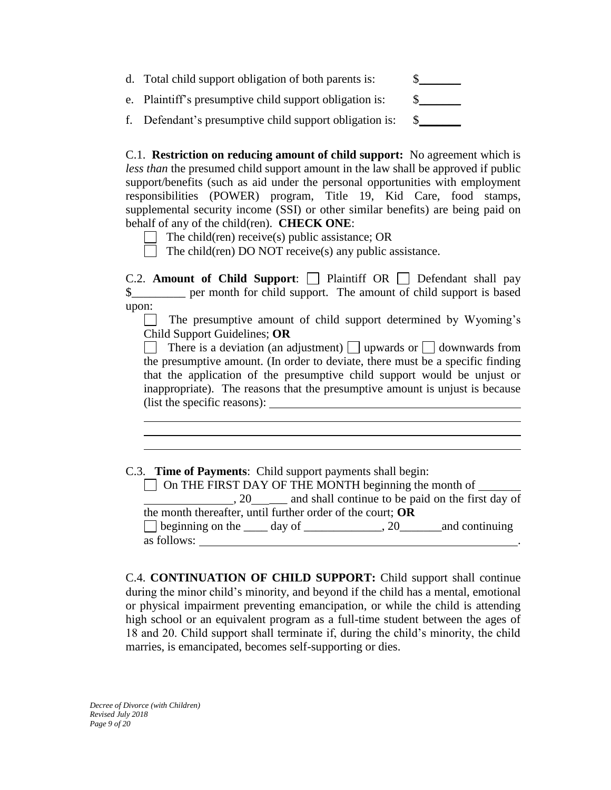| d. Total child support obligation of both parents is:   |  |
|---------------------------------------------------------|--|
| e. Plaintiff's presumptive child support obligation is: |  |
| f. Defendant's presumptive child support obligation is: |  |

C.1. **Restriction on reducing amount of child support:** No agreement which is *less than* the presumed child support amount in the law shall be approved if public support/benefits (such as aid under the personal opportunities with employment responsibilities (POWER) program, Title 19, Kid Care, food stamps, supplemental security income (SSI) or other similar benefits) are being paid on behalf of any of the child(ren). **CHECK ONE**:

The child(ren) receive(s) public assistance; OR

The child(ren) DO NOT receive(s) any public assistance.

C.2. **Amount of Child Support**: Plaintiff OR Defendant shall pay \$\_\_\_\_\_\_\_\_\_ per month for child support. The amount of child support is based upon:

 $\Box$  The presumptive amount of child support determined by Wyoming's Child Support Guidelines; **OR**

There is a deviation (an adjustment) upwards or  $\Box$  downwards from the presumptive amount. (In order to deviate, there must be a specific finding that the application of the presumptive child support would be unjust or inappropriate). The reasons that the presumptive amount is unjust is because (list the specific reasons):

C.3. **Time of Payments**: Child support payments shall begin:

 $\Box$  On THE FIRST DAY OF THE MONTH beginning the month of  $\Box$ , 20 \_\_\_ and shall continue to be paid on the first day of the month thereafter, until further order of the court; **OR** beginning on the \_\_\_\_ day of \_\_\_\_\_\_\_\_\_\_\_\_\_, 20\_\_\_\_\_\_\_and continuing as follows:

C.4. **CONTINUATION OF CHILD SUPPORT:** Child support shall continue during the minor child's minority, and beyond if the child has a mental, emotional or physical impairment preventing emancipation, or while the child is attending high school or an equivalent program as a full-time student between the ages of 18 and 20. Child support shall terminate if, during the child's minority, the child marries, is emancipated, becomes self-supporting or dies.

*Decree of Divorce (with Children) Revised July 2018 Page 9 of 20*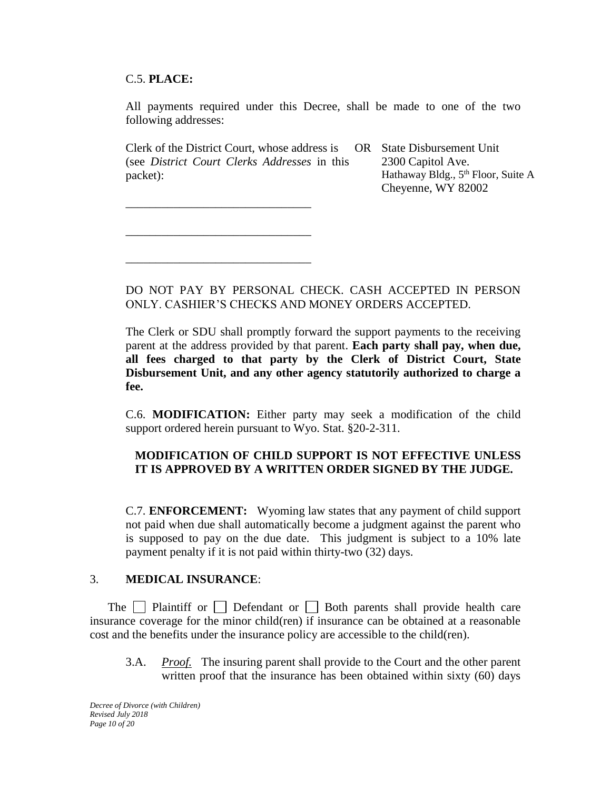## C.5. **PLACE:**

All payments required under this Decree, shall be made to one of the two following addresses:

Clerk of the District Court, whose address is (see *District Court Clerks Addresses* in this packet):

\_\_\_\_\_\_\_\_\_\_\_\_\_\_\_\_\_\_\_\_\_\_\_\_\_\_\_\_\_\_\_

\_\_\_\_\_\_\_\_\_\_\_\_\_\_\_\_\_\_\_\_\_\_\_\_\_\_\_\_\_\_\_

\_\_\_\_\_\_\_\_\_\_\_\_\_\_\_\_\_\_\_\_\_\_\_\_\_\_\_\_\_\_\_

OR State Disbursement Unit 2300 Capitol Ave. Hathaway Bldg., 5<sup>th</sup> Floor, Suite A Cheyenne, WY 82002

DO NOT PAY BY PERSONAL CHECK. CASH ACCEPTED IN PERSON ONLY. CASHIER'S CHECKS AND MONEY ORDERS ACCEPTED.

The Clerk or SDU shall promptly forward the support payments to the receiving parent at the address provided by that parent. **Each party shall pay, when due, all fees charged to that party by the Clerk of District Court, State Disbursement Unit, and any other agency statutorily authorized to charge a fee.**

C.6. **MODIFICATION:** Either party may seek a modification of the child support ordered herein pursuant to Wyo. Stat. §20-2-311.

## **MODIFICATION OF CHILD SUPPORT IS NOT EFFECTIVE UNLESS IT IS APPROVED BY A WRITTEN ORDER SIGNED BY THE JUDGE.**

C.7. **ENFORCEMENT:** Wyoming law states that any payment of child support not paid when due shall automatically become a judgment against the parent who is supposed to pay on the due date. This judgment is subject to a 10% late payment penalty if it is not paid within thirty-two (32) days.

#### 3. **MEDICAL INSURANCE**:

The  $\Box$  Plaintiff or  $\Box$  Defendant or  $\Box$  Both parents shall provide health care insurance coverage for the minor child(ren) if insurance can be obtained at a reasonable cost and the benefits under the insurance policy are accessible to the child(ren).

3.A. *Proof.* The insuring parent shall provide to the Court and the other parent written proof that the insurance has been obtained within sixty (60) days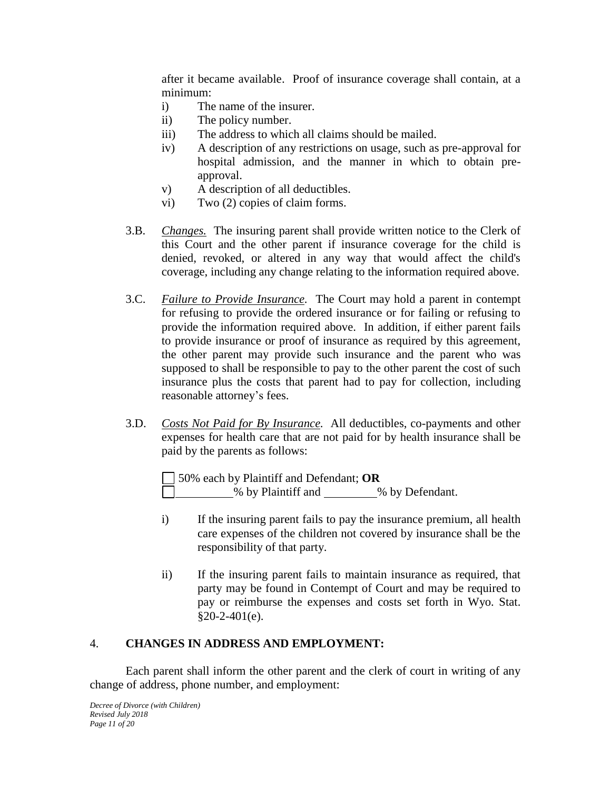after it became available. Proof of insurance coverage shall contain, at a minimum:

- i) The name of the insurer.
- ii) The policy number.
- iii) The address to which all claims should be mailed.
- iv) A description of any restrictions on usage, such as pre-approval for hospital admission, and the manner in which to obtain preapproval.
- v) A description of all deductibles.
- vi) Two (2) copies of claim forms.
- 3.B. *Changes.* The insuring parent shall provide written notice to the Clerk of this Court and the other parent if insurance coverage for the child is denied, revoked, or altered in any way that would affect the child's coverage, including any change relating to the information required above.
- 3.C. *Failure to Provide Insurance.* The Court may hold a parent in contempt for refusing to provide the ordered insurance or for failing or refusing to provide the information required above. In addition, if either parent fails to provide insurance or proof of insurance as required by this agreement, the other parent may provide such insurance and the parent who was supposed to shall be responsible to pay to the other parent the cost of such insurance plus the costs that parent had to pay for collection, including reasonable attorney's fees.
- 3.D. *Costs Not Paid for By Insurance.* All deductibles, co-payments and other expenses for health care that are not paid for by health insurance shall be paid by the parents as follows:

50% each by Plaintiff and Defendant; **OR** % by Plaintiff and % by Defendant.

- i) If the insuring parent fails to pay the insurance premium, all health care expenses of the children not covered by insurance shall be the responsibility of that party.
- ii) If the insuring parent fails to maintain insurance as required, that party may be found in Contempt of Court and may be required to pay or reimburse the expenses and costs set forth in Wyo. Stat.  $§20-2-401(e).$

## 4. **CHANGES IN ADDRESS AND EMPLOYMENT:**

Each parent shall inform the other parent and the clerk of court in writing of any change of address, phone number, and employment: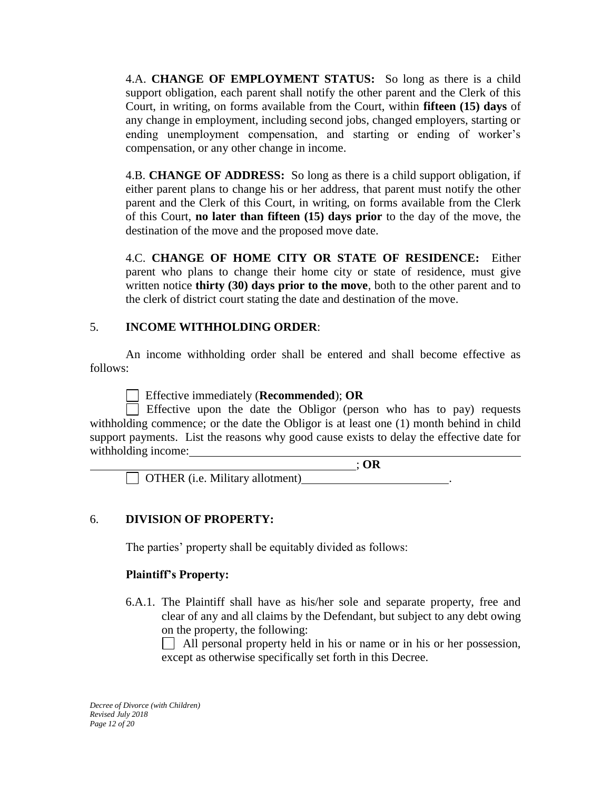4.A. **CHANGE OF EMPLOYMENT STATUS:** So long as there is a child support obligation, each parent shall notify the other parent and the Clerk of this Court, in writing, on forms available from the Court, within **fifteen (15) days** of any change in employment, including second jobs, changed employers, starting or ending unemployment compensation, and starting or ending of worker's compensation, or any other change in income.

4.B. **CHANGE OF ADDRESS:** So long as there is a child support obligation, if either parent plans to change his or her address, that parent must notify the other parent and the Clerk of this Court, in writing, on forms available from the Clerk of this Court, **no later than fifteen (15) days prior** to the day of the move, the destination of the move and the proposed move date.

4.C. **CHANGE OF HOME CITY OR STATE OF RESIDENCE:** Either parent who plans to change their home city or state of residence, must give written notice **thirty (30) days prior to the move**, both to the other parent and to the clerk of district court stating the date and destination of the move.

## 5. **INCOME WITHHOLDING ORDER**:

An income withholding order shall be entered and shall become effective as follows:

Effective immediately (**Recommended**); **OR**

Effective upon the date the Obligor (person who has to pay) requests withholding commence; or the date the Obligor is at least one (1) month behind in child support payments. List the reasons why good cause exists to delay the effective date for withholding income:

 ; **OR**  $\Box$  OTHER (i.e. Military allotment)

# 6. **DIVISION OF PROPERTY:**

The parties' property shall be equitably divided as follows:

## **Plaintiff's Property:**

6.A.1. The Plaintiff shall have as his/her sole and separate property, free and clear of any and all claims by the Defendant, but subject to any debt owing on the property, the following:

 $\Box$  All personal property held in his or name or in his or her possession, except as otherwise specifically set forth in this Decree.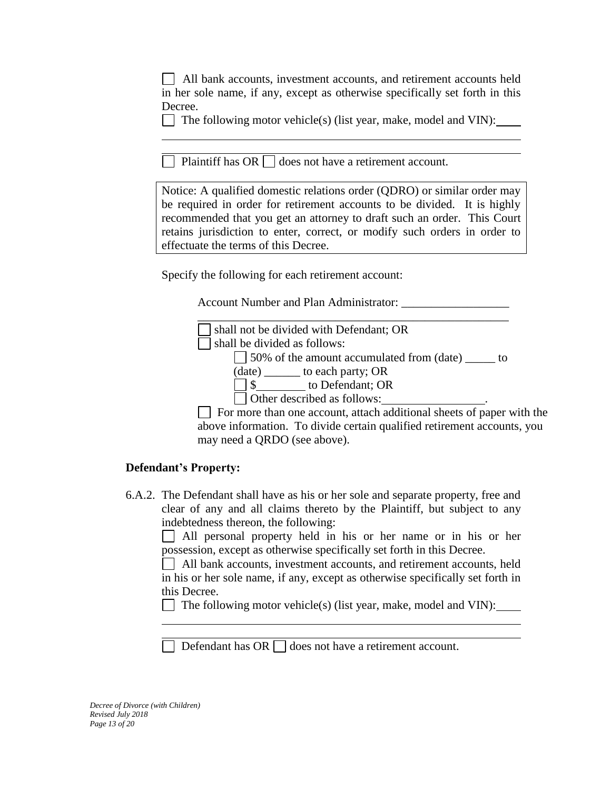| All bank accounts, investment accounts, and retirement accounts held         |
|------------------------------------------------------------------------------|
| in her sole name, if any, except as otherwise specifically set forth in this |
| Decree.                                                                      |

The following motor vehicle(s) (list year, make, model and VIN):

Plaintiff has  $OR \Box$  does not have a retirement account.

Notice: A qualified domestic relations order (QDRO) or similar order may be required in order for retirement accounts to be divided. It is highly recommended that you get an attorney to draft such an order. This Court retains jurisdiction to enter, correct, or modify such orders in order to effectuate the terms of this Decree.

Specify the following for each retirement account:

Account Number and Plan Administrator:

| shall not be divided with Defendant; OR                                |
|------------------------------------------------------------------------|
| shall be divided as follows:                                           |
| □ 50% of the amount accumulated from (date) <u>● 1</u><br>$\mathbf{t}$ |
| $(data)$ to each party; OR                                             |
| \$ to Defendant; OR                                                    |
| Other described as follows:                                            |
| For more than one account, attach additional sheets of paper           |
|                                                                        |

 $\sqrt{2}$ with the above information. To divide certain qualified retirement accounts, you may need a QRDO (see above).

## **Defendant's Property:**

6.A.2. The Defendant shall have as his or her sole and separate property, free and clear of any and all claims thereto by the Plaintiff, but subject to any indebtedness thereon, the following:

All personal property held in his or her name or in his or her possession, except as otherwise specifically set forth in this Decree.

 All bank accounts, investment accounts, and retirement accounts, held in his or her sole name, if any, except as otherwise specifically set forth in this Decree.

The following motor vehicle(s) (list year, make, model and VIN):

Defendant has OR  $\Box$  does not have a retirement account.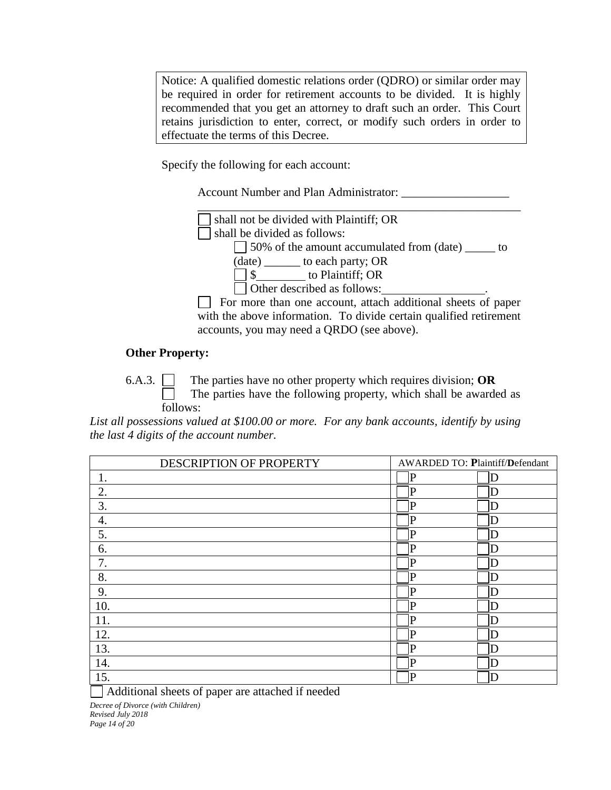Notice: A qualified domestic relations order (QDRO) or similar order may be required in order for retirement accounts to be divided. It is highly recommended that you get an attorney to draft such an order. This Court retains jurisdiction to enter, correct, or modify such orders in order to effectuate the terms of this Decree.

Specify the following for each account:

Account Number and Plan Administrator: \_\_\_\_\_\_\_\_\_\_\_\_\_\_\_\_\_\_



50% of the amount accumulated from (date) \_\_\_\_\_ to

(date) \_\_\_\_\_\_ to each party; OR

\$ to Plaintiff; OR

Other described as follows:

 $\Box$  For more than one account, attach additional sheets of paper with the above information. To divide certain qualified retirement accounts, you may need a QRDO (see above).

### **Other Property:**

6.A.3. The parties have no other property which requires division; **OR** The parties have the following property, which shall be awarded as follows:

*List all possessions valued at \$100.00 or more. For any bank accounts, identify by using the last 4 digits of the account number.*

| DESCRIPTION OF PROPERTY | <b>AWARDED TO: Plaintiff/Defendant</b> |   |
|-------------------------|----------------------------------------|---|
| 1.                      | $\mathbf P$                            | Ð |
| 2.                      | $\mathsf P$                            | D |
| 3.                      | P                                      | D |
| 4.                      | P                                      | D |
| 5.                      | P                                      | D |
| 6.                      | P                                      | Đ |
| 7.                      | $\mathbf P$                            | D |
| 8.                      | P                                      | Ð |
| 9.                      | P                                      | Ð |
| 10.                     | P                                      | D |
| 11.                     | P                                      | D |
| 12.                     | P                                      | D |
| 13.                     | P                                      | D |
| 14.                     | $\mathbf P$                            | Đ |
| 15.                     | $\mathbf P$                            | D |

Additional sheets of paper are attached if needed

*Decree of Divorce (with Children) Revised July 2018 Page 14 of 20*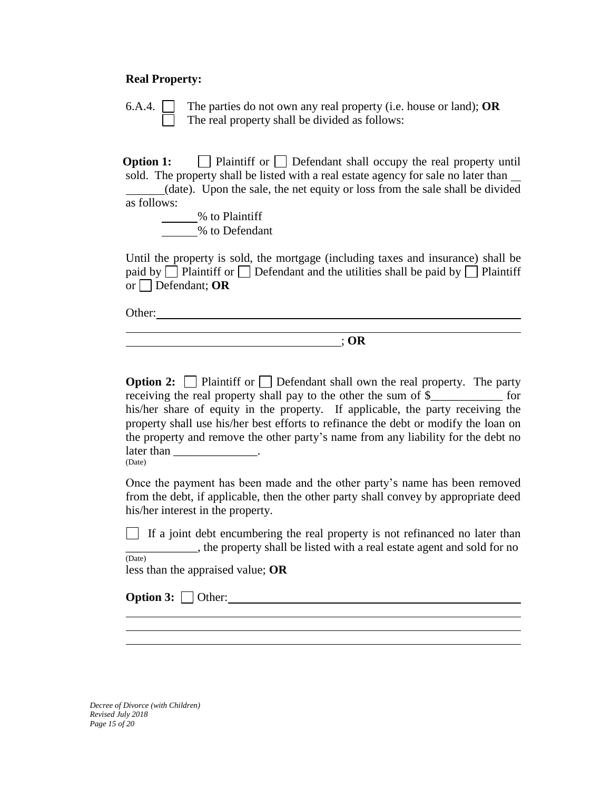#### **Real Property:**

6.A.4. The parties do not own any real property (i.e. house or land); **OR** The real property shall be divided as follows:

**Option 1:** Plaintiff or Defendant shall occupy the real property until sold. The property shall be listed with a real estate agency for sale no later than

(date). Upon the sale, the net equity or loss from the sale shall be divided as follows:

% to Plaintiff % to Defendant

Until the property is sold, the mortgage (including taxes and insurance) shall be paid by  $\Box$  Plaintiff or  $\Box$  Defendant and the utilities shall be paid by  $\Box$  Plaintiff or Defendant; **OR**

Other: when the contract of the contract of the contract of the contract of the contract of the contract of the contract of the contract of the contract of the contract of the contract of the contract of the contract of th

; **OR**

**Option 2:** Plaintiff or Defendant shall own the real property. The party receiving the real property shall pay to the other the sum of \$  $\qquad \qquad$  for his/her share of equity in the property. If applicable, the party receiving the property shall use his/her best efforts to refinance the debt or modify the loan on the property and remove the other party's name from any liability for the debt no  $\text{later than} \_\_\_\_\_\_\_\_\_\_\_\_\_\_\_\_\_\_$ (Date)

Once the payment has been made and the other party's name has been removed from the debt, if applicable, then the other party shall convey by appropriate deed his/her interest in the property.

If a joint debt encumbering the real property is not refinanced no later than <sub>n</sub>, the property shall be listed with a real estate agent and sold for no

(Date) less than the appraised value; **OR**

**Option 3:** Other:

*Decree of Divorce (with Children) Revised July 2018 Page 15 of 20*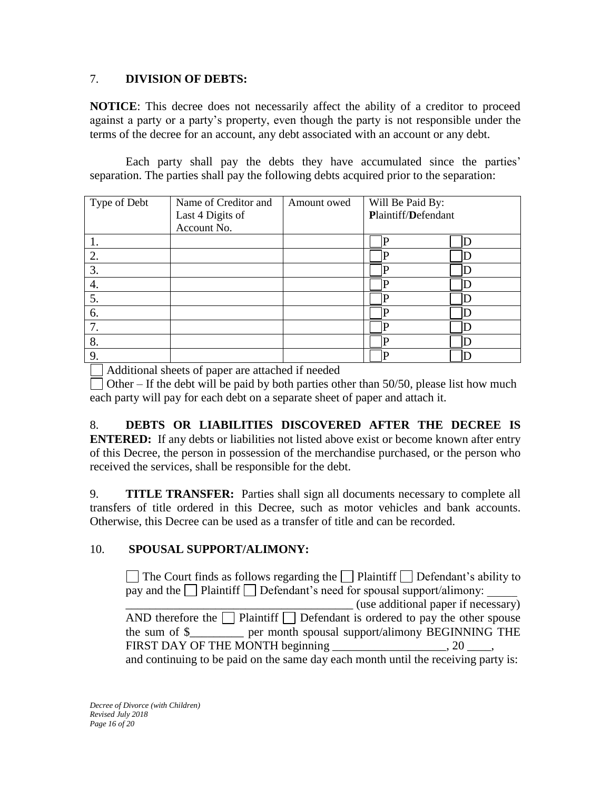# 7. **DIVISION OF DEBTS:**

**NOTICE**: This decree does not necessarily affect the ability of a creditor to proceed against a party or a party's property, even though the party is not responsible under the terms of the decree for an account, any debt associated with an account or any debt.

Each party shall pay the debts they have accumulated since the parties' separation. The parties shall pay the following debts acquired prior to the separation:

| Type of Debt | Name of Creditor and<br>Last 4 Digits of | Amount owed | Will Be Paid By:<br>Plaintiff/Defendant |  |
|--------------|------------------------------------------|-------------|-----------------------------------------|--|
|              | Account No.                              |             |                                         |  |
|              |                                          |             |                                         |  |
| 2.           |                                          |             |                                         |  |
| 3.           |                                          |             |                                         |  |
| 4.           |                                          |             |                                         |  |
| 5.           |                                          |             |                                         |  |
| 6.           |                                          |             |                                         |  |
| 7.           |                                          |             |                                         |  |
| 8.           |                                          |             |                                         |  |
| 9.           |                                          |             |                                         |  |

Additional sheets of paper are attached if needed

 $\Box$  Other – If the debt will be paid by both parties other than 50/50, please list how much each party will pay for each debt on a separate sheet of paper and attach it.

8. **DEBTS OR LIABILITIES DISCOVERED AFTER THE DECREE IS ENTERED:** If any debts or liabilities not listed above exist or become known after entry of this Decree, the person in possession of the merchandise purchased, or the person who received the services, shall be responsible for the debt.

9. **TITLE TRANSFER:** Parties shall sign all documents necessary to complete all transfers of title ordered in this Decree, such as motor vehicles and bank accounts. Otherwise, this Decree can be used as a transfer of title and can be recorded.

# 10. **SPOUSAL SUPPORT/ALIMONY:**

 $\Box$  The Court finds as follows regarding the  $\Box$  Plaintiff  $\Box$  Defendant's ability to pay and the  $\Box$  Plaintiff  $\Box$  Defendant's need for spousal support/alimony: \_\_\_\_\_\_\_\_\_\_\_\_\_\_\_\_\_\_\_\_\_\_\_\_\_\_\_\_\_\_\_\_\_\_\_\_\_\_ (use additional paper if necessary) AND therefore the  $\Box$  Plaintiff  $\Box$  Defendant is ordered to pay the other spouse the sum of \$\_\_\_\_\_\_\_\_\_ per month spousal support/alimony BEGINNING THE FIRST DAY OF THE MONTH beginning \_\_\_\_\_\_\_\_\_\_\_\_\_\_\_\_\_\_\_\_\_, 20 \_\_\_\_\_, and continuing to be paid on the same day each month until the receiving party is: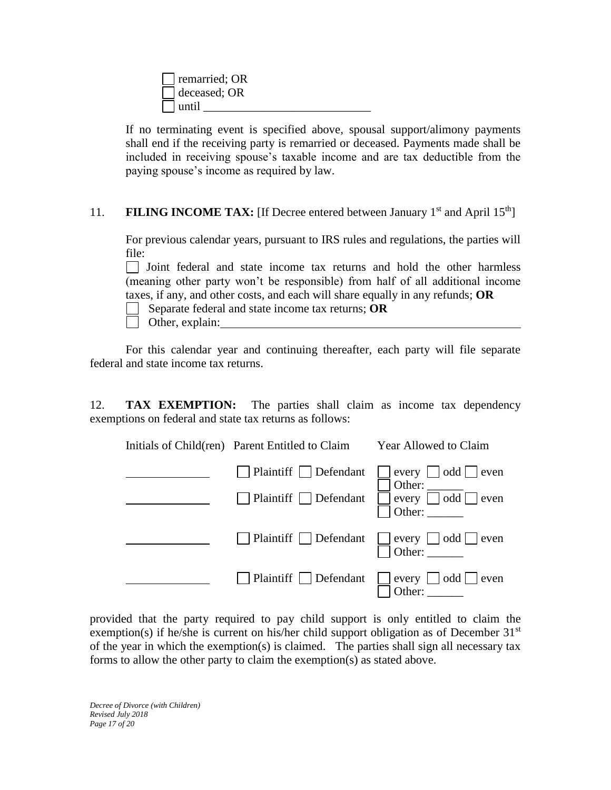| $\blacksquare$ remarried; OR |  |
|------------------------------|--|
| $\vert$ deceased; OR         |  |
| $\vert$ $\vert$ until        |  |

If no terminating event is specified above, spousal support/alimony payments shall end if the receiving party is remarried or deceased. Payments made shall be included in receiving spouse's taxable income and are tax deductible from the paying spouse's income as required by law.

11. **FILING INCOME TAX:** [If Decree entered between January 1<sup>st</sup> and April 15<sup>th</sup>]

For previous calendar years, pursuant to IRS rules and regulations, the parties will file:

Joint federal and state income tax returns and hold the other harmless (meaning other party won't be responsible) from half of all additional income taxes, if any, and other costs, and each will share equally in any refunds; **OR**

Separate federal and state income tax returns; **OR**

Other, explain:

For this calendar year and continuing thereafter, each party will file separate federal and state income tax returns.

12. **TAX EXEMPTION:** The parties shall claim as income tax dependency exemptions on federal and state tax returns as follows:

| Initials of Child(ren) Parent Entitled to Claim                        | Year Allowed to Claim                                                        |
|------------------------------------------------------------------------|------------------------------------------------------------------------------|
| $\Box$ Plaintiff $\Box$ Defendant<br>$\Box$ Plaintiff $\Box$ Defendant | $\Box$ every $\Box$ odd $\Box$ even<br>every odd ven                         |
| □ Plaintiff □ Defendant □ every □ odd □ even<br>□ Other: ______        |                                                                              |
|                                                                        | $\Box$ Plaintiff $\Box$ Defendant $\Box$ every $\Box$ odd $\Box$ even Other: |

provided that the party required to pay child support is only entitled to claim the exemption(s) if he/she is current on his/her child support obligation as of December  $31<sup>st</sup>$ of the year in which the exemption(s) is claimed. The parties shall sign all necessary tax forms to allow the other party to claim the exemption(s) as stated above.

*Decree of Divorce (with Children) Revised July 2018 Page 17 of 20*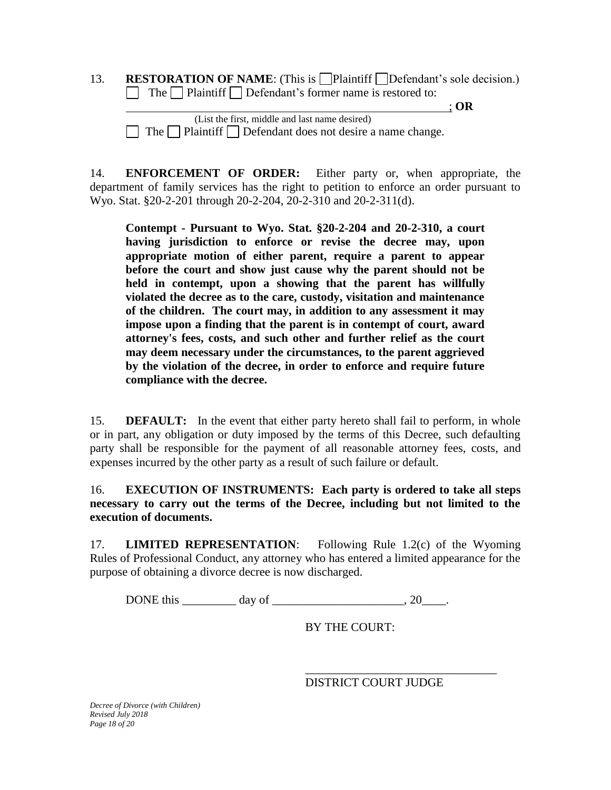13. **RESTORATION OF NAME:** (This is  $\Box$  Plaintiff  $\Box$  Defendant's sole decision.)  $\Box$  The  $\Box$  Plaintiff  $\Box$  Defendant's former name is restored to:

; **OR**

 (List the first, middle and last name desired)  $\Box$  The  $\Box$  Plaintiff  $\Box$  Defendant does not desire a name change.

14. **ENFORCEMENT OF ORDER:** Either party or, when appropriate, the department of family services has the right to petition to enforce an order pursuant to Wyo. Stat. §20-2-201 through 20-2-204, 20-2-310 and 20-2-311(d).

**Contempt - Pursuant to Wyo. Stat. §20-2-204 and 20-2-310, a court having jurisdiction to enforce or revise the decree may, upon appropriate motion of either parent, require a parent to appear before the court and show just cause why the parent should not be held in contempt, upon a showing that the parent has willfully violated the decree as to the care, custody, visitation and maintenance of the children. The court may, in addition to any assessment it may impose upon a finding that the parent is in contempt of court, award attorney's fees, costs, and such other and further relief as the court may deem necessary under the circumstances, to the parent aggrieved by the violation of the decree, in order to enforce and require future compliance with the decree.** 

15. **DEFAULT:** In the event that either party hereto shall fail to perform, in whole or in part, any obligation or duty imposed by the terms of this Decree, such defaulting party shall be responsible for the payment of all reasonable attorney fees, costs, and expenses incurred by the other party as a result of such failure or default.

16. **EXECUTION OF INSTRUMENTS: Each party is ordered to take all steps necessary to carry out the terms of the Decree, including but not limited to the execution of documents.** 

17. **LIMITED REPRESENTATION**: Following Rule 1.2(c) of the Wyoming Rules of Professional Conduct, any attorney who has entered a limited appearance for the purpose of obtaining a divorce decree is now discharged.

DONE this day of  $\qquad \qquad$  0.

BY THE COURT:

DISTRICT COURT JUDGE

\_\_\_\_\_\_\_\_\_\_\_\_\_\_\_\_\_\_\_\_\_\_\_\_\_\_\_\_\_\_\_\_

*Decree of Divorce (with Children) Revised July 2018 Page 18 of 20*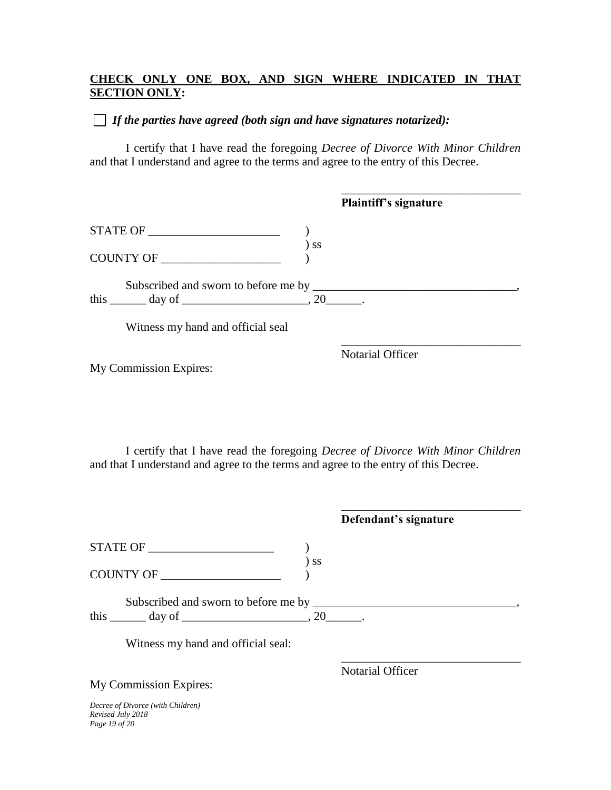# **CHECK ONLY ONE BOX, AND SIGN WHERE INDICATED IN THAT SECTION ONLY:**

# *If the parties have agreed (both sign and have signatures notarized):*

I certify that I have read the foregoing *Decree of Divorce With Minor Children* and that I understand and agree to the terms and agree to the entry of this Decree.

|                                                             |           | <b>Plaintiff's signature</b> |  |
|-------------------------------------------------------------|-----------|------------------------------|--|
|                                                             |           |                              |  |
| COUNTY OF                                                   | <b>SS</b> |                              |  |
| this $\_\_\_\_$ day of $\_\_\_\_\_\_$ , 20 $\_\_\_\_\_\_$ . |           |                              |  |
| Witness my hand and official seal                           |           |                              |  |
| My Commission Expires:                                      |           | <b>Notarial Officer</b>      |  |
|                                                             |           |                              |  |

I certify that I have read the foregoing *Decree of Divorce With Minor Children* and that I understand and agree to the terms and agree to the entry of this Decree.

|                                                                         | Defendant's signature   |
|-------------------------------------------------------------------------|-------------------------|
| STATE OF                                                                |                         |
| <b>SS</b><br>COUNTY OF                                                  |                         |
| this $\_\_\_\_$ day of $\_\_\_\_\_\_$ , 20 $\_\_\_\_\_\_$ .             |                         |
| Witness my hand and official seal:                                      |                         |
|                                                                         | <b>Notarial Officer</b> |
| My Commission Expires:                                                  |                         |
| Decree of Divorce (with Children)<br>Revised July 2018<br>Page 19 of 20 |                         |